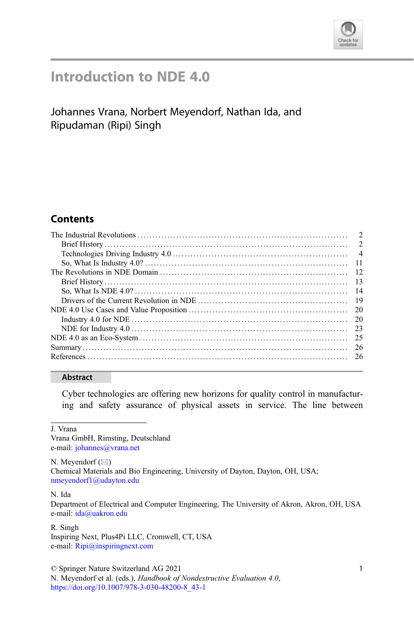

# Introduction to NDE 4.0

## Johannes Vrana, Norbert Meyendorf, Nathan Ida, and Ripudaman (Ripi) Singh

### **Contents**

| -14 |
|-----|
|     |
|     |
|     |
|     |
|     |
|     |
|     |
|     |

#### Abstract

Cyber technologies are offering new horizons for quality control in manufacturing and safety assurance of physical assets in service. The line between

J. Vrana

Vrana GmbH, Rimsting, Deutschland e-mail: [johannes@vrana.net](mailto:johannes@vrana.net)

N. Meyendorf  $(\boxtimes)$ Chemical Materials and Bio Engineering, University of Dayton, Dayton, OH, USA; [nmeyendorf1@udayton.edu](mailto:nmeyendorf1@udayton.edu)

N. Ida

Department of Electrical and Computer Engineering, The University of Akron, Akron, OH, USA e-mail: [ida@uakron.edu](mailto:ida@uakron.edu)

R. Singh Inspiring Next, Plus4Pi LLC, Cromwell, CT, USA e-mail: [Ripi@inspiringnext.com](mailto:Ripi@inspiringnext.com)

© Springer Nature Switzerland AG 2021

N. Meyendorf et al. (eds.), Handbook of Nondestructive Evaluation 4.0, [https://doi.org/10.1007/978-3-030-48200-8\\_43-1](https://doi.org/10.1007/978-3-030-48200-8_43-1#DOI)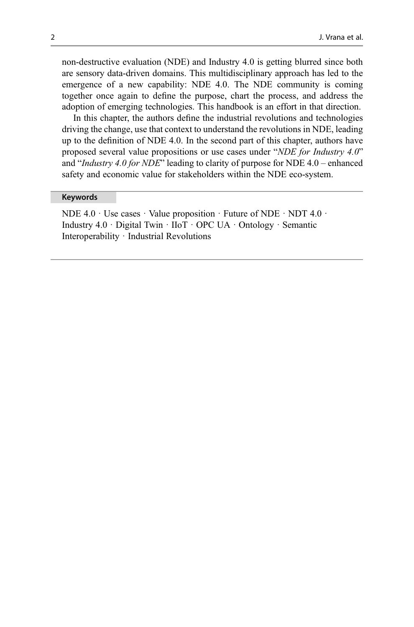non-destructive evaluation (NDE) and Industry 4.0 is getting blurred since both are sensory data-driven domains. This multidisciplinary approach has led to the emergence of a new capability: NDE 4.0. The NDE community is coming together once again to define the purpose, chart the process, and address the adoption of emerging technologies. This handbook is an effort in that direction.

In this chapter, the authors define the industrial revolutions and technologies driving the change, use that context to understand the revolutions in NDE, leading up to the definition of NDE 4.0. In the second part of this chapter, authors have proposed several value propositions or use cases under "NDE for Industry 4.0" and "*Industry 4.0 for NDE*" leading to clarity of purpose for NDE  $4.0$  – enhanced safety and economic value for stakeholders within the NDE eco-system.

#### Keywords

NDE  $4.0 \cdot$  Use cases  $\cdot$  Value proposition  $\cdot$  Future of NDE  $\cdot$  NDT  $4.0 \cdot$ Industry 4.0 · Digital Twin · IIoT · OPC UA · Ontology · Semantic Interoperability · Industrial Revolutions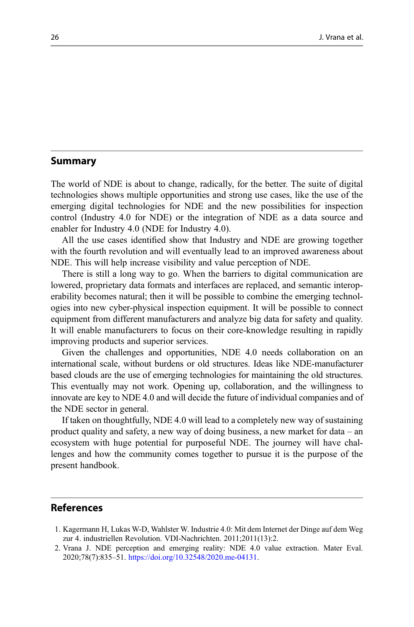#### Summary

The world of NDE is about to change, radically, for the better. The suite of digital technologies shows multiple opportunities and strong use cases, like the use of the emerging digital technologies for NDE and the new possibilities for inspection control (Industry 4.0 for NDE) or the integration of NDE as a data source and enabler for Industry 4.0 (NDE for Industry 4.0).

All the use cases identified show that Industry and NDE are growing together with the fourth revolution and will eventually lead to an improved awareness about NDE. This will help increase visibility and value perception of NDE.

There is still a long way to go. When the barriers to digital communication are lowered, proprietary data formats and interfaces are replaced, and semantic interoperability becomes natural; then it will be possible to combine the emerging technologies into new cyber-physical inspection equipment. It will be possible to connect equipment from different manufacturers and analyze big data for safety and quality. It will enable manufacturers to focus on their core-knowledge resulting in rapidly improving products and superior services.

Given the challenges and opportunities, NDE 4.0 needs collaboration on an international scale, without burdens or old structures. Ideas like NDE-manufacturer based clouds are the use of emerging technologies for maintaining the old structures. This eventually may not work. Opening up, collaboration, and the willingness to innovate are key to NDE 4.0 and will decide the future of individual companies and of the NDE sector in general.

If taken on thoughtfully, NDE 4.0 will lead to a completely new way of sustaining product quality and safety, a new way of doing business, a new market for data – an ecosystem with huge potential for purposeful NDE. The journey will have challenges and how the community comes together to pursue it is the purpose of the present handbook.

#### References

<sup>1.</sup> Kagermann H, Lukas W-D, Wahlster W. Industrie 4.0: Mit dem Internet der Dinge auf dem Weg zur 4. industriellen Revolution. VDI-Nachrichten. 2011;2011(13):2.

<sup>2.</sup> Vrana J. NDE perception and emerging reality: NDE 4.0 value extraction. Mater Eval. 2020;78(7):835–51. <https://doi.org/10.32548/2020.me-04131>.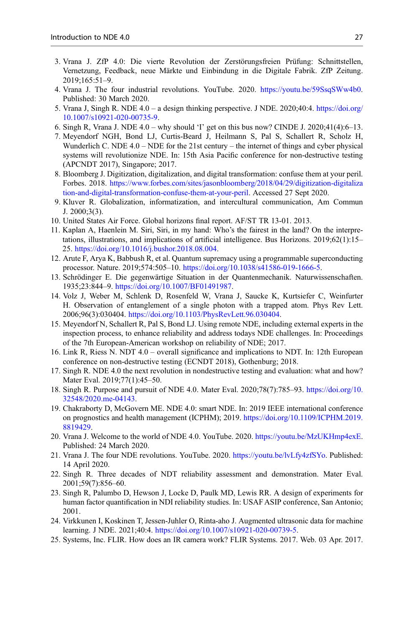- 3. Vrana J. ZfP 4.0: Die vierte Revolution der Zerstörungsfreien Prüfung: Schnittstellen, Vernetzung, Feedback, neue Märkte und Einbindung in die Digitale Fabrik. ZfP Zeitung. 2019;165:51–9.
- 4. Vrana J. The four industrial revolutions. YouTube. 2020. <https://youtu.be/59SsqSWw4b0>. Published: 30 March 2020.
- 5. Vrana J, Singh R. NDE 4.0 a design thinking perspective. J NDE. 2020;40:4. [https://doi.org/](https://doi.org/10.1007/s10921-020-00735-9) [10.1007/s10921-020-00735-9](https://doi.org/10.1007/s10921-020-00735-9).
- 6. Singh R, Vrana J. NDE  $4.0 -$  why should 'I' get on this bus now? CINDE J. 2020; $41(4)$ : $6-13$ .
- 7. Meyendorf NGH, Bond LJ, Curtis-Beard J, Heilmann S, Pal S, Schallert R, Scholz H, Wunderlich C. NDE  $4.0 -$ NDE for the 21st century – the internet of things and cyber physical systems will revolutionize NDE. In: 15th Asia Pacific conference for non-destructive testing (APCNDT 2017), Singapore; 2017.
- 8. Bloomberg J. Digitization, digitalization, and digital transformation: confuse them at your peril. Forbes. 2018. [https://www.forbes.com/sites/jasonbloomberg/2018/04/29/digitization-digitaliza](https://www.forbes.com/sites/jasonbloomberg/2018/04/29/digitization-digitalization-and-digital-transformation-confuse-them-at-your-peril) [tion-and-digital-transformation-confuse-them-at-your-peril.](https://www.forbes.com/sites/jasonbloomberg/2018/04/29/digitization-digitalization-and-digital-transformation-confuse-them-at-your-peril) Accessed 27 Sept 2020.
- 9. Kluver R. Globalization, informatization, and intercultural communication, Am Commun  $J. 2000:3(3)$ .
- 10. United States Air Force. Global horizons final report. AF/ST TR 13-01. 2013.
- 11. Kaplan A, Haenlein M. Siri, Siri, in my hand: Who's the fairest in the land? On the interpretations, illustrations, and implications of artificial intelligence. Bus Horizons. 2019;62(1):15– 25. <https://doi.org/10.1016/j.bushor.2018.08.004>.
- 12. Arute F, Arya K, Babbush R, et al. Quantum supremacy using a programmable superconducting processor. Nature. 2019;574:505–10. <https://doi.org/10.1038/s41586-019-1666-5>.
- 13. Schrödinger E. Die gegenwärtige Situation in der Quantenmechanik. Naturwissenschaften. 1935;23:844–9. [https://doi.org/10.1007/BF01491987.](https://doi.org/10.1007/BF01491987)
- 14. Volz J, Weber M, Schlenk D, Rosenfeld W, Vrana J, Saucke K, Kurtsiefer C, Weinfurter H. Observation of entanglement of a single photon with a trapped atom. Phys Rev Lett. 2006;96(3):030404. [https://doi.org/10.1103/PhysRevLett.96.030404.](https://doi.org/10.1103/PhysRevLett.96.030404)
- 15. Meyendorf N, Schallert R, Pal S, Bond LJ. Using remote NDE, including external experts in the inspection process, to enhance reliability and address todays NDE challenges. In: Proceedings of the 7th European-American workshop on reliability of NDE; 2017.
- 16. Link R, Riess N. NDT 4.0 overall significance and implications to NDT. In: 12th European conference on non-destructive testing (ECNDT 2018), Gothenburg; 2018.
- 17. Singh R. NDE 4.0 the next revolution in nondestructive testing and evaluation: what and how? Mater Eval. 2019;77(1):45–50.
- 18. Singh R. Purpose and pursuit of NDE 4.0. Mater Eval. 2020;78(7):785–93. [https://doi.org/10.](https://doi.org/10.32548/2020.me-04143) [32548/2020.me-04143](https://doi.org/10.32548/2020.me-04143).
- 19. Chakraborty D, McGovern ME. NDE 4.0: smart NDE. In: 2019 IEEE international conference on prognostics and health management (ICPHM); 2019. [https://doi.org/10.1109/ICPHM.2019.](https://doi.org/10.1109/ICPHM.2019.8819429) [8819429](https://doi.org/10.1109/ICPHM.2019.8819429).
- 20. Vrana J. Welcome to the world of NDE 4.0. YouTube. 2020. <https://youtu.be/MzUKHmp4exE>. Published: 24 March 2020.
- 21. Vrana J. The four NDE revolutions. YouTube. 2020. [https://youtu.be/lvLfy4zfSYo.](https://youtu.be/lvLfy4zfSYo) Published: 14 April 2020.
- 22. Singh R. Three decades of NDT reliability assessment and demonstration. Mater Eval. 2001;59(7):856–60.
- 23. Singh R, Palumbo D, Hewson J, Locke D, Paulk MD, Lewis RR. A design of experiments for human factor quantification in NDI reliability studies. In: USAF ASIP conference, San Antonio; 2001.
- 24. Virkkunen I, Koskinen T, Jessen-Juhler O, Rinta-aho J. Augmented ultrasonic data for machine learning. J NDE. 2021;40:4. [https://doi.org/10.1007/s10921-020-00739-5.](https://doi.org/10.1007/s10921-020-00739-5)
- 25. Systems, Inc. FLIR. How does an IR camera work? FLIR Systems. 2017. Web. 03 Apr. 2017.